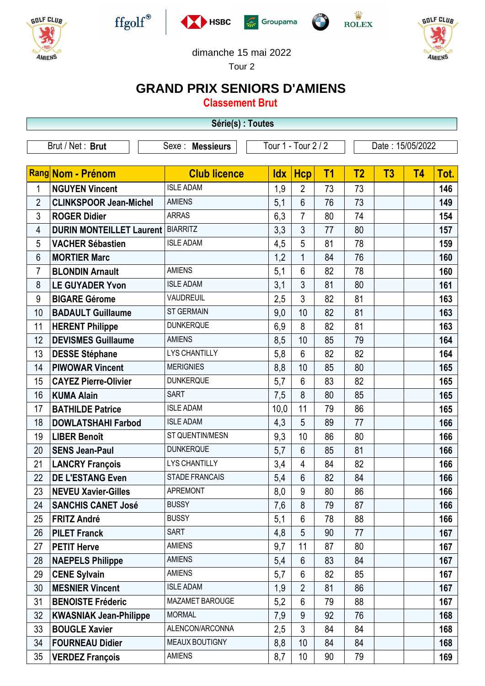











dimanche 15 mai 2022

Tour 2

## **GRAND PRIX SENIORS D'AMIENS**

**Classement Brut**

**Série(s) : Toutes**

| Serie(s): Toutes                                                                |                                 |                       |            |                 |                |                |    |           |      |
|---------------------------------------------------------------------------------|---------------------------------|-----------------------|------------|-----------------|----------------|----------------|----|-----------|------|
| Tour 1 - Tour 2 / 2<br>Brut / Net: Brut<br>Date: 15/05/2022<br>Sexe : Messieurs |                                 |                       |            |                 |                |                |    |           |      |
|                                                                                 |                                 |                       |            |                 |                |                |    |           |      |
|                                                                                 | <b>Rang Nom - Prénom</b>        | <b>Club licence</b>   | <b>Idx</b> | <b>Hcp</b>      | T <sub>1</sub> | T <sub>2</sub> | T3 | <b>T4</b> | Tot. |
| 1                                                                               | <b>NGUYEN Vincent</b>           | <b>ISLE ADAM</b>      | 1,9        | $\overline{2}$  | 73             | 73             |    |           | 146  |
| 2                                                                               | <b>CLINKSPOOR Jean-Michel</b>   | <b>AMIENS</b>         | 5,1        | $6\phantom{1}$  | 76             | 73             |    |           | 149  |
| 3                                                                               | <b>ROGER Didier</b>             | <b>ARRAS</b>          | 6,3        | $\overline{7}$  | 80             | 74             |    |           | 154  |
| 4                                                                               | <b>DURIN MONTEILLET Laurent</b> | BIARRITZ              | 3,3        | $\overline{3}$  | 77             | 80             |    |           | 157  |
| 5                                                                               | <b>VACHER Sébastien</b>         | <b>ISLE ADAM</b>      | 4,5        | 5               | 81             | 78             |    |           | 159  |
| 6                                                                               | <b>MORTIER Marc</b>             |                       | 1,2        | 1               | 84             | 76             |    |           | 160  |
| 7                                                                               | <b>BLONDIN Arnault</b>          | <b>AMIENS</b>         | 5,1        | 6               | 82             | 78             |    |           | 160  |
| 8                                                                               | <b>LE GUYADER Yvon</b>          | <b>ISLE ADAM</b>      | 3,1        | 3               | 81             | 80             |    |           | 161  |
| 9                                                                               | <b>BIGARE Gérome</b>            | <b>VAUDREUIL</b>      | 2,5        | 3               | 82             | 81             |    |           | 163  |
| 10                                                                              | <b>BADAULT Guillaume</b>        | <b>ST GERMAIN</b>     | 9,0        | 10              | 82             | 81             |    |           | 163  |
| 11                                                                              | <b>HERENT Philippe</b>          | <b>DUNKERQUE</b>      | 6,9        | 8               | 82             | 81             |    |           | 163  |
| 12                                                                              | <b>DEVISMES Guillaume</b>       | <b>AMIENS</b>         | 8,5        | 10              | 85             | 79             |    |           | 164  |
| 13                                                                              | <b>DESSE Stéphane</b>           | <b>LYS CHANTILLY</b>  | 5,8        | 6               | 82             | 82             |    |           | 164  |
| 14                                                                              | <b>PIWOWAR Vincent</b>          | <b>MERIGNIES</b>      | 8,8        | 10              | 85             | 80             |    |           | 165  |
| 15                                                                              | <b>CAYEZ Pierre-Olivier</b>     | <b>DUNKERQUE</b>      | 5,7        | 6               | 83             | 82             |    |           | 165  |
| 16                                                                              | <b>KUMA Alain</b>               | <b>SART</b>           | 7,5        | 8               | 80             | 85             |    |           | 165  |
| 17                                                                              | <b>BATHILDE Patrice</b>         | <b>ISLE ADAM</b>      | 10,0       | 11              | 79             | 86             |    |           | 165  |
| 18                                                                              | <b>DOWLATSHAHI Farbod</b>       | <b>ISLE ADAM</b>      | 4,3        | 5               | 89             | 77             |    |           | 166  |
| 19                                                                              | <b>LIBER Benoît</b>             | ST QUENTIN/MESN       | 9,3        | 10              | 86             | 80             |    |           | 166  |
| 20                                                                              | <b>SENS Jean-Paul</b>           | <b>DUNKERQUE</b>      | 5,7        | $6\phantom{1}$  | 85             | 81             |    |           | 166  |
| 21                                                                              | <b>LANCRY François</b>          | <b>LYS CHANTILLY</b>  | 3,4        | $\overline{4}$  | 84             | 82             |    |           | 166  |
| 22                                                                              | <b>DE L'ESTANG Even</b>         | <b>STADE FRANCAIS</b> | 5,4        | 6               | 82             | 84             |    |           | 166  |
| 23                                                                              | <b>NEVEU Xavier-Gilles</b>      | <b>APREMONT</b>       | 8,0        | 9               | 80             | 86             |    |           | 166  |
| 24                                                                              | <b>SANCHIS CANET José</b>       | <b>BUSSY</b>          | 7,6        | 8               | 79             | 87             |    |           | 166  |
| 25                                                                              | <b>FRITZ André</b>              | <b>BUSSY</b>          | 5,1        | 6               | 78             | 88             |    |           | 166  |
| 26                                                                              | <b>PILET Franck</b>             | <b>SART</b>           | 4,8        | 5               | 90             | 77             |    |           | 167  |
| 27                                                                              | <b>PETIT Herve</b>              | <b>AMIENS</b>         | 9,7        | 11              | 87             | 80             |    |           | 167  |
| 28                                                                              | <b>NAEPELS Philippe</b>         | <b>AMIENS</b>         | 5,4        | 6               | 83             | 84             |    |           | 167  |
| 29                                                                              | <b>CENE Sylvain</b>             | <b>AMIENS</b>         | 5,7        | 6               | 82             | 85             |    |           | 167  |
| 30                                                                              | <b>MESNIER Vincent</b>          | <b>ISLE ADAM</b>      | 1,9        | $\overline{2}$  | 81             | 86             |    |           | 167  |
| 31                                                                              | <b>BENOISTE Fréderic</b>        | MAZAMET BAROUGE       | 5,2        | 6               | 79             | 88             |    |           | 167  |
| 32                                                                              | <b>KWASNIAK Jean-Philippe</b>   | <b>MORMAL</b>         | 7,9        | 9               | 92             | 76             |    |           | 168  |
| 33                                                                              | <b>BOUGLE Xavier</b>            | ALENCON/ARCONNA       | 2,5        | 3               | 84             | 84             |    |           | 168  |
| 34                                                                              | <b>FOURNEAU Didier</b>          | MEAUX BOUTIGNY        | 8,8        | 10              | 84             | 84             |    |           | 168  |
| 35                                                                              | <b>VERDEZ François</b>          | <b>AMIENS</b>         | 8,7        | 10 <sup>1</sup> | 90             | 79             |    |           | 169  |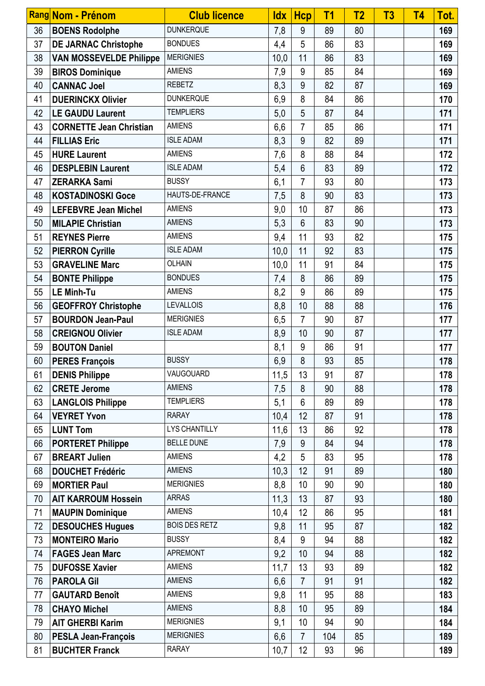|    | Rang Nom - Prénom              | <b>Club licence</b>  | <b>Idx</b> | <b>Hcp</b>      | T <sub>1</sub> | T <sub>2</sub> | T3 | <b>T4</b> | Tot. |
|----|--------------------------------|----------------------|------------|-----------------|----------------|----------------|----|-----------|------|
| 36 | <b>BOENS Rodolphe</b>          | <b>DUNKERQUE</b>     | 7,8        | 9               | 89             | 80             |    |           | 169  |
| 37 | <b>DE JARNAC Christophe</b>    | <b>BONDUES</b>       | 4,4        | 5               | 86             | 83             |    |           | 169  |
| 38 | <b>VAN MOSSEVELDE Philippe</b> | <b>MERIGNIES</b>     | 10,0       | 11              | 86             | 83             |    |           | 169  |
| 39 | <b>BIROS Dominique</b>         | <b>AMIENS</b>        | 7,9        | 9               | 85             | 84             |    |           | 169  |
| 40 | <b>CANNAC Joel</b>             | <b>REBETZ</b>        | 8,3        | 9               | 82             | 87             |    |           | 169  |
| 41 | <b>DUERINCKX Olivier</b>       | <b>DUNKERQUE</b>     | 6,9        | 8               | 84             | 86             |    |           | 170  |
| 42 | <b>LE GAUDU Laurent</b>        | <b>TEMPLIERS</b>     | 5,0        | 5               | 87             | 84             |    |           | 171  |
| 43 | <b>CORNETTE Jean Christian</b> | <b>AMIENS</b>        | 6,6        | $\overline{7}$  | 85             | 86             |    |           | 171  |
| 44 | <b>FILLIAS Eric</b>            | <b>ISLE ADAM</b>     | 8,3        | 9               | 82             | 89             |    |           | 171  |
| 45 | <b>HURE Laurent</b>            | <b>AMIENS</b>        | 7,6        | 8               | 88             | 84             |    |           | 172  |
| 46 | <b>DESPLEBIN Laurent</b>       | <b>ISLE ADAM</b>     | 5,4        | 6               | 83             | 89             |    |           | 172  |
| 47 | <b>ZERARKA Sami</b>            | <b>BUSSY</b>         | 6,1        | $\overline{7}$  | 93             | 80             |    |           | 173  |
| 48 | <b>KOSTADINOSKI Goce</b>       | HAUTS-DE-FRANCE      | 7,5        | 8               | 90             | 83             |    |           | 173  |
| 49 | <b>LEFEBVRE Jean Michel</b>    | <b>AMIENS</b>        | 9,0        | 10              | 87             | 86             |    |           | 173  |
| 50 | <b>MILAPIE Christian</b>       | <b>AMIENS</b>        | 5,3        | $6\phantom{1}6$ | 83             | 90             |    |           | 173  |
| 51 | <b>REYNES Pierre</b>           | <b>AMIENS</b>        | 9,4        | 11              | 93             | 82             |    |           | 175  |
| 52 | <b>PIERRON Cyrille</b>         | <b>ISLE ADAM</b>     | 10,0       | 11              | 92             | 83             |    |           | 175  |
| 53 | <b>GRAVELINE Marc</b>          | <b>OLHAIN</b>        | 10,0       | 11              | 91             | 84             |    |           | 175  |
| 54 | <b>BONTE Philippe</b>          | <b>BONDUES</b>       | 7,4        | 8               | 86             | 89             |    |           | 175  |
| 55 | <b>LE Minh-Tu</b>              | <b>AMIENS</b>        | 8,2        | 9               | 86             | 89             |    |           | 175  |
| 56 | <b>GEOFFROY Christophe</b>     | <b>LEVALLOIS</b>     | 8,8        | 10              | 88             | 88             |    |           | 176  |
| 57 | <b>BOURDON Jean-Paul</b>       | <b>MERIGNIES</b>     | 6,5        | $\overline{7}$  | 90             | 87             |    |           | 177  |
| 58 | <b>CREIGNOU Olivier</b>        | <b>ISLE ADAM</b>     | 8,9        | 10              | 90             | 87             |    |           | 177  |
| 59 | <b>BOUTON Daniel</b>           |                      | 8,1        | 9               | 86             | 91             |    |           | 177  |
| 60 | <b>PERES François</b>          | <b>BUSSY</b>         | 6,9        | 8               | 93             | 85             |    |           | 178  |
| 61 | <b>DENIS Philippe</b>          | VAUGOUARD            | 11,5       | 13              | 91             | 87             |    |           | 178  |
| 62 | <b>CRETE Jerome</b>            | <b>AMIENS</b>        | 7,5        | 8               | 90             | 88             |    |           | 178  |
| 63 | <b>LANGLOIS Philippe</b>       | <b>TEMPLIERS</b>     | 5,1        | 6               | 89             | 89             |    |           | 178  |
| 64 | <b>VEYRET Yvon</b>             | <b>RARAY</b>         | 10,4       | 12              | 87             | 91             |    |           | 178  |
| 65 | <b>LUNT Tom</b>                | <b>LYS CHANTILLY</b> | 11,6       | 13              | 86             | 92             |    |           | 178  |
| 66 | <b>PORTERET Philippe</b>       | <b>BELLE DUNE</b>    | 7,9        | 9               | 84             | 94             |    |           | 178  |
| 67 | <b>BREART Julien</b>           | <b>AMIENS</b>        | 4,2        | 5               | 83             | 95             |    |           | 178  |
| 68 | <b>DOUCHET Frédéric</b>        | <b>AMIENS</b>        | 10,3       | 12              | 91             | 89             |    |           | 180  |
| 69 | <b>MORTIER Paul</b>            | <b>MERIGNIES</b>     | 8,8        | 10              | 90             | 90             |    |           | 180  |
| 70 | <b>AIT KARROUM Hossein</b>     | <b>ARRAS</b>         | 11,3       | 13              | 87             | 93             |    |           | 180  |
| 71 | <b>MAUPIN Dominique</b>        | <b>AMIENS</b>        | 10,4       | 12              | 86             | 95             |    |           | 181  |
| 72 | <b>DESOUCHES Hugues</b>        | <b>BOIS DES RETZ</b> | 9,8        | 11              | 95             | 87             |    |           | 182  |
| 73 | <b>MONTEIRO Mario</b>          | <b>BUSSY</b>         | 8,4        | 9               | 94             | 88             |    |           | 182  |
| 74 | <b>FAGES Jean Marc</b>         | <b>APREMONT</b>      | 9,2        | 10              | 94             | 88             |    |           | 182  |
| 75 | <b>DUFOSSE Xavier</b>          | <b>AMIENS</b>        | 11,7       | 13              | 93             | 89             |    |           | 182  |
| 76 | <b>PAROLA Gil</b>              | <b>AMIENS</b>        | 6,6        | $\overline{7}$  | 91             | 91             |    |           | 182  |
| 77 | <b>GAUTARD Benoît</b>          | <b>AMIENS</b>        | 9,8        | 11              | 95             | 88             |    |           | 183  |
| 78 | <b>CHAYO Michel</b>            | <b>AMIENS</b>        | 8,8        | 10              | 95             | 89             |    |           | 184  |
| 79 | <b>AIT GHERBI Karim</b>        | <b>MERIGNIES</b>     | 9,1        | 10              | 94             | 90             |    |           | 184  |
| 80 | <b>PESLA Jean-François</b>     | <b>MERIGNIES</b>     | 6,6        | $\overline{7}$  | 104            | 85             |    |           | 189  |
| 81 | <b>BUCHTER Franck</b>          | <b>RARAY</b>         | 10,7       | 12              | 93             | 96             |    |           | 189  |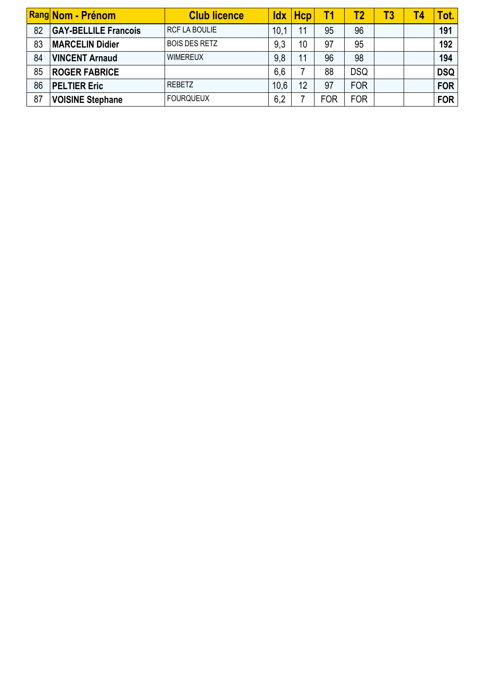|    | <b>Rang Nom - Prénom</b>    | <b>Club licence</b>  | ldx  | Hcp | Γ1         | <b>T2</b>  | Т3. | <b>T4</b> | <b>Tot.</b> |
|----|-----------------------------|----------------------|------|-----|------------|------------|-----|-----------|-------------|
| 82 | <b>GAY-BELLILE Francois</b> | RCF LA BOULIE        | 10,1 | 11  | 95         | 96         |     |           | 191         |
| 83 | <b>MARCELIN Didier</b>      | <b>BOIS DES RETZ</b> | 9,3  | 10  | 97         | 95         |     |           | 192         |
| 84 | <b>VINCENT Arnaud</b>       | <b>WIMEREUX</b>      | 9,8  | 11  | 96         | 98         |     |           | 194         |
| 85 | <b>ROGER FABRICE</b>        |                      | 6,6  |     | 88         | <b>DSQ</b> |     |           | <b>DSQ</b>  |
| 86 | <b>PELTIER Eric</b>         | <b>REBETZ</b>        | 10,6 | 12  | 97         | <b>FOR</b> |     |           | <b>FOR</b>  |
| 87 | <b>VOISINE Stephane</b>     | <b>FOURQUEUX</b>     | 6,2  |     | <b>FOR</b> | <b>FOR</b> |     |           | <b>FOR</b>  |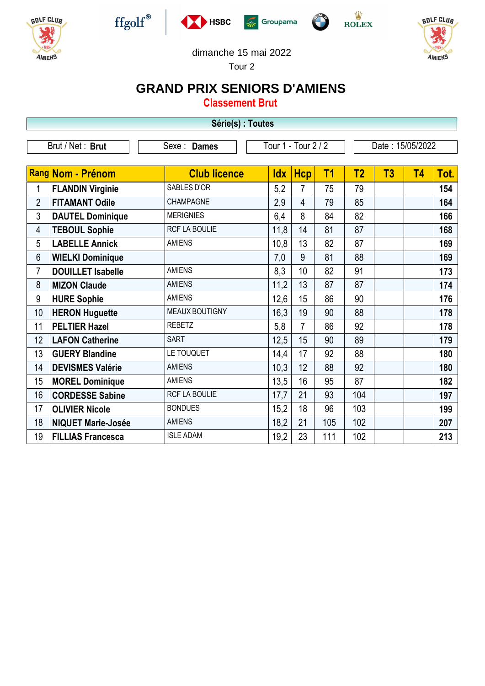









**GOLF CLUB** 

AMIENS

 $\frac{\dot{W}}{\text{ROLEX}}$ 



Tour 2

## **GRAND PRIX SENIORS D'AMIENS**

**Classement Brut**

| Série(s) : Toutes |                           |                      |                     |                |                |                  |    |    |      |  |
|-------------------|---------------------------|----------------------|---------------------|----------------|----------------|------------------|----|----|------|--|
|                   | Brut / Net: Brut          | Sexe : Dames         | Tour 1 - Tour 2 / 2 |                |                | Date: 15/05/2022 |    |    |      |  |
|                   | Rang Nom - Prénom         | <b>Club licence</b>  | <b>Idx</b>          | <b>Hcp</b>     | T <sub>1</sub> | T <sub>2</sub>   | T3 | T4 | Tot. |  |
| 1                 | <b>FLANDIN Virginie</b>   | SABLES D'OR          | 5,2                 | $\overline{7}$ | 75             | 79               |    |    | 154  |  |
| $\overline{2}$    | <b>FITAMANT Odile</b>     | CHAMPAGNE            | 2,9                 | 4              | 79             | 85               |    |    | 164  |  |
| 3                 | <b>DAUTEL Dominique</b>   | <b>MERIGNIES</b>     | 6,4                 | 8              | 84             | 82               |    |    | 166  |  |
| 4                 | <b>TEBOUL Sophie</b>      | <b>RCF LA BOULIE</b> | 11,8                | 14             | 81             | 87               |    |    | 168  |  |
| 5                 | <b>LABELLE Annick</b>     | <b>AMIENS</b>        | 10,8                | 13             | 82             | 87               |    |    | 169  |  |
| $6\phantom{.}6$   | <b>WIELKI Dominique</b>   |                      | 7,0                 | 9              | 81             | 88               |    |    | 169  |  |
| $\overline{7}$    | <b>DOUILLET Isabelle</b>  | <b>AMIENS</b>        | 8,3                 | 10             | 82             | 91               |    |    | 173  |  |
| 8                 | <b>MIZON Claude</b>       | <b>AMIENS</b>        | 11,2                | 13             | 87             | 87               |    |    | 174  |  |
| 9                 | <b>HURE Sophie</b>        | <b>AMIENS</b>        | 12,6                | 15             | 86             | 90               |    |    | 176  |  |
| 10                | <b>HERON Huguette</b>     | MEAUX BOUTIGNY       | 16,3                | 19             | 90             | 88               |    |    | 178  |  |
| 11                | <b>PELTIER Hazel</b>      | <b>REBETZ</b>        | 5,8                 | $\overline{7}$ | 86             | 92               |    |    | 178  |  |
| 12                | <b>LAFON Catherine</b>    | <b>SART</b>          | 12,5                | 15             | 90             | 89               |    |    | 179  |  |
| 13                | <b>GUERY Blandine</b>     | LE TOUQUET           | 14,4                | 17             | 92             | 88               |    |    | 180  |  |
| 14                | <b>DEVISMES Valérie</b>   | <b>AMIENS</b>        | 10,3                | 12             | 88             | 92               |    |    | 180  |  |
| 15                | <b>MOREL Dominique</b>    | <b>AMIENS</b>        | 13,5                | 16             | 95             | 87               |    |    | 182  |  |
| 16                | <b>CORDESSE Sabine</b>    | <b>RCF LA BOULIE</b> | 17,7                | 21             | 93             | 104              |    |    | 197  |  |
| 17                | <b>OLIVIER Nicole</b>     | <b>BONDUES</b>       | 15,2                | 18             | 96             | 103              |    |    | 199  |  |
| 18                | <b>NIQUET Marie-Josée</b> | <b>AMIENS</b>        | 18,2                | 21             | 105            | 102              |    |    | 207  |  |
| 19                | <b>FILLIAS Francesca</b>  | <b>ISLE ADAM</b>     | 19,2                | 23             | 111            | 102              |    |    | 213  |  |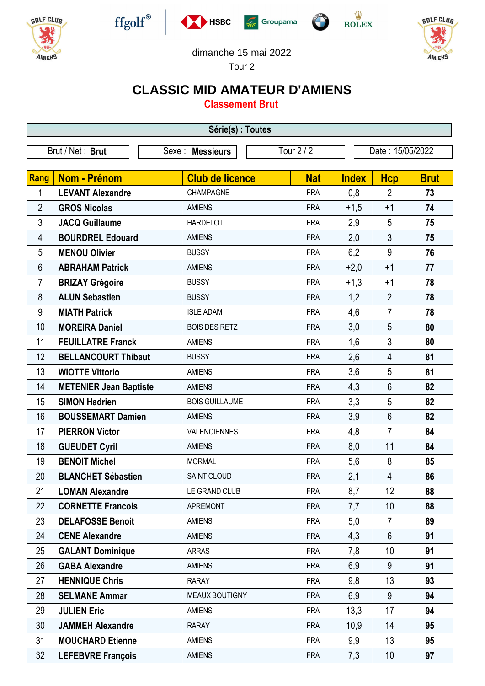











dimanche 15 mai 2022

Tour 2

## **CLASSIC MID AMATEUR D'AMIENS**

**Classement Brut**

| Série(s) : Toutes |                               |                        |            |              |                  |             |  |  |  |
|-------------------|-------------------------------|------------------------|------------|--------------|------------------|-------------|--|--|--|
|                   | Brut / Net: Brut              | Sexe : Messieurs       | Tour $2/2$ |              | Date: 15/05/2022 |             |  |  |  |
|                   |                               |                        |            |              |                  |             |  |  |  |
| Rang              | Nom - Prénom                  | <b>Club de licence</b> | <b>Nat</b> | <b>Index</b> | <b>Hcp</b>       | <b>Brut</b> |  |  |  |
| 1                 | <b>LEVANT Alexandre</b>       | CHAMPAGNE              | <b>FRA</b> | 0,8          | $\overline{2}$   | 73          |  |  |  |
| $\overline{2}$    | <b>GROS Nicolas</b>           | <b>AMIENS</b>          | <b>FRA</b> | $+1,5$       | $+1$             | 74          |  |  |  |
| 3                 | <b>JACQ Guillaume</b>         | <b>HARDELOT</b>        | <b>FRA</b> | 2,9          | 5                | 75          |  |  |  |
| 4                 | <b>BOURDREL Edouard</b>       | <b>AMIENS</b>          | <b>FRA</b> | 2,0          | $\mathfrak{Z}$   | 75          |  |  |  |
| 5                 | <b>MENOU Olivier</b>          | <b>BUSSY</b>           | <b>FRA</b> | 6,2          | 9                | 76          |  |  |  |
| 6                 | <b>ABRAHAM Patrick</b>        | <b>AMIENS</b>          | <b>FRA</b> | $+2,0$       | $+1$             | 77          |  |  |  |
| $\overline{7}$    | <b>BRIZAY Grégoire</b>        | <b>BUSSY</b>           | <b>FRA</b> | $+1,3$       | $+1$             | 78          |  |  |  |
| 8                 | <b>ALUN Sebastien</b>         | <b>BUSSY</b>           | <b>FRA</b> | 1,2          | $\overline{2}$   | 78          |  |  |  |
| 9                 | <b>MIATH Patrick</b>          | <b>ISLE ADAM</b>       | <b>FRA</b> | 4,6          | $\overline{7}$   | 78          |  |  |  |
| 10                | <b>MOREIRA Daniel</b>         | <b>BOIS DES RETZ</b>   | <b>FRA</b> | 3,0          | 5                | 80          |  |  |  |
| 11                | <b>FEUILLATRE Franck</b>      | <b>AMIENS</b>          | <b>FRA</b> | 1,6          | 3                | 80          |  |  |  |
| 12                | <b>BELLANCOURT Thibaut</b>    | <b>BUSSY</b>           | <b>FRA</b> | 2,6          | $\overline{4}$   | 81          |  |  |  |
| 13                | <b>WIOTTE Vittorio</b>        | <b>AMIENS</b>          | <b>FRA</b> | 3,6          | 5                | 81          |  |  |  |
| 14                | <b>METENIER Jean Baptiste</b> | <b>AMIENS</b>          | <b>FRA</b> | 4,3          | $6\phantom{1}$   | 82          |  |  |  |
| 15                | <b>SIMON Hadrien</b>          | <b>BOIS GUILLAUME</b>  | <b>FRA</b> | 3,3          | 5                | 82          |  |  |  |
| 16                | <b>BOUSSEMART Damien</b>      | <b>AMIENS</b>          | <b>FRA</b> | 3,9          | $6\phantom{1}$   | 82          |  |  |  |
| 17                | <b>PIERRON Victor</b>         | VALENCIENNES           | <b>FRA</b> | 4,8          | $\overline{7}$   | 84          |  |  |  |
| 18                | <b>GUEUDET Cyril</b>          | <b>AMIENS</b>          | <b>FRA</b> | 8,0          | 11               | 84          |  |  |  |
| 19                | <b>BENOIT Michel</b>          | <b>MORMAL</b>          | <b>FRA</b> | 5,6          | 8                | 85          |  |  |  |
| 20                | <b>BLANCHET Sébastien</b>     | SAINT CLOUD            | <b>FRA</b> | 2,1          | 4                | 86          |  |  |  |
| 21                | <b>LOMAN Alexandre</b>        | LE GRAND CLUB          | <b>FRA</b> | 8,7          | 12               | 88          |  |  |  |
| 22                | <b>CORNETTE Francois</b>      | <b>APREMONT</b>        | <b>FRA</b> | 7,7          | 10               | 88          |  |  |  |
| 23                | <b>DELAFOSSE Benoit</b>       | <b>AMIENS</b>          | <b>FRA</b> | 5,0          | $\overline{7}$   | 89          |  |  |  |
| 24                | <b>CENE Alexandre</b>         | <b>AMIENS</b>          | <b>FRA</b> | 4,3          | $6\phantom{1}$   | 91          |  |  |  |
| 25                | <b>GALANT Dominique</b>       | <b>ARRAS</b>           | <b>FRA</b> | 7,8          | 10               | 91          |  |  |  |
| 26                | <b>GABA Alexandre</b>         | <b>AMIENS</b>          | <b>FRA</b> | 6,9          | 9                | 91          |  |  |  |
| 27                | <b>HENNIQUE Chris</b>         | <b>RARAY</b>           | <b>FRA</b> | 9,8          | 13               | 93          |  |  |  |
| 28                | <b>SELMANE Ammar</b>          | MEAUX BOUTIGNY         | <b>FRA</b> | 6,9          | 9                | 94          |  |  |  |
| 29                | <b>JULIEN Eric</b>            | <b>AMIENS</b>          | <b>FRA</b> | 13,3         | 17               | 94          |  |  |  |
| 30                | <b>JAMMEH Alexandre</b>       | <b>RARAY</b>           | <b>FRA</b> | 10,9         | 14               | 95          |  |  |  |
| 31                | <b>MOUCHARD Etienne</b>       | <b>AMIENS</b>          | <b>FRA</b> | 9,9          | 13               | 95          |  |  |  |
| 32                | <b>LEFEBVRE François</b>      | <b>AMIENS</b>          | <b>FRA</b> | 7,3          | 10 <sup>°</sup>  | 97          |  |  |  |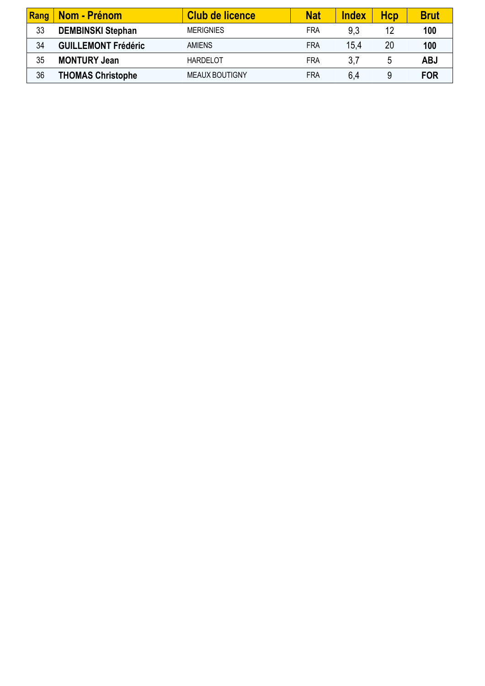| Rang | <b>Nom - Prénom</b>        | Club de licence       | <b>Nat</b> | <b>Index</b> | Hcp | <b>Brut</b> |
|------|----------------------------|-----------------------|------------|--------------|-----|-------------|
| 33   | <b>DEMBINSKI Stephan</b>   | <b>MERIGNIES</b>      | FRA        | 9,3          | 12  | 100         |
| 34   | <b>GUILLEMONT Frédéric</b> | <b>AMIENS</b>         | FRA        | 15.4         | 20  | 100         |
| 35   | <b>MONTURY Jean</b>        | <b>HARDELOT</b>       | FRA        | 3,7          | 5   | <b>ABJ</b>  |
| 36   | <b>THOMAS Christophe</b>   | <b>MEAUX BOUTIGNY</b> | FRA        | 6,4          | 9   | <b>FOR</b>  |